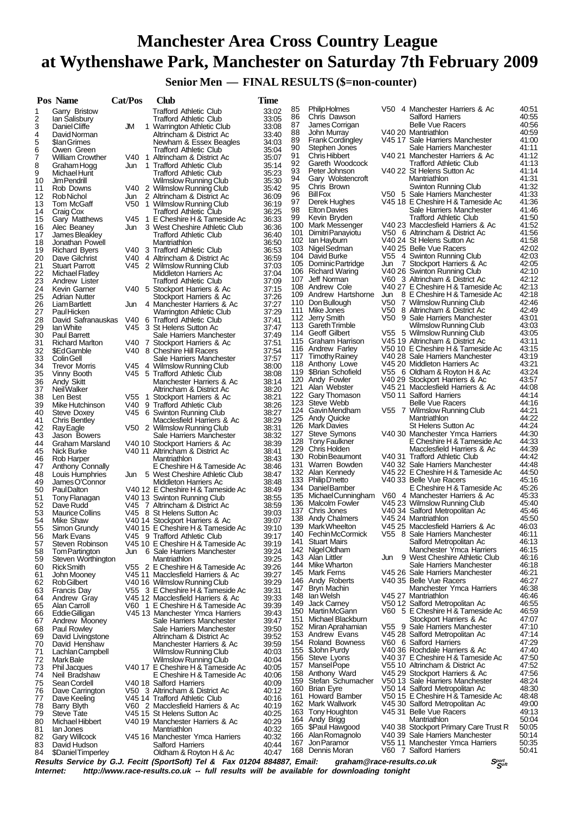# **Manchester Area Cross Country League at Wythenshawe Park, Manchester on Saturday 7th February 2009**

 **Senior Men — FINAL RESULTS (\$=non-counter)**

|          | Pos Name                                      | Cat/Pos      | Club                                                                | Time           |            |                                             |     |                                                                      |                |
|----------|-----------------------------------------------|--------------|---------------------------------------------------------------------|----------------|------------|---------------------------------------------|-----|----------------------------------------------------------------------|----------------|
| 1        | Garry Bristow                                 |              | <b>Trafford Athletic Club</b>                                       | 33:02          | 85         | <b>PhilipHolmes</b>                         |     | V50 4 Manchester Harriers & Ac                                       | 40:51          |
| 2        | lan Salisbury                                 |              | <b>Trafford Athletic Club</b>                                       | 33:05          | 86<br>87   | Chris Dawson<br>James Corrigan              |     | Salford Harriers<br><b>Belle Vue Racers</b>                          | 40:55<br>40:56 |
| 3<br>4   | Daniel Cliffe<br>David Norman                 | JM           | 1 Warrington Athletic Club<br>Altrincham & District Ac              | 33:08<br>33:40 | 88         | John Murray                                 |     | V40 20 Mantriathlon                                                  | 40:59          |
| 5        | \$lan Grimes                                  |              | Newham & Essex Beagles                                              | 34:03          | 89         | <b>Frank Cordingley</b>                     |     | V45 17 Sale Harriers Manchester                                      | 41:00          |
| 6        | Owen Green                                    |              | <b>Trafford Athletic Club</b>                                       | 35:04          | 90<br>91   | Stephen Jones<br>Chris Hibbert              |     | Sale Harriers Manchester<br>V40 21 Manchester Harriers & Ac          | 41:11<br>41:12 |
| 7<br>8   | <b>William Crowther</b><br>Graham Hogg        | V40 1<br>Jun | Altrincham & District Ac<br>1 Trafford Athletic Club                | 35:07<br>35:14 | 92         | Gareth Woodcock                             |     | <b>Trafford Athletic Club</b>                                        | 41:13          |
| 9        | Michael Hunt                                  |              | <b>Trafford Athletic Club</b>                                       | 35:23          | 93         | Peter Johnson                               |     | V40 22 St Helens Sutton Ac                                           | 41:14          |
| 10       | Jim Pendrill                                  |              | Wilmslow Running Club                                               | 35:30          | 94         | Gary Wolstencroft                           |     | Mantriathlon                                                         | 41:31          |
| 11       | Rob Downs                                     |              | V40 2 Wilmslow Running Club                                         | 35:42          | 95<br>96   | Chris Brown<br><b>Bill Fox</b>              |     | Swinton Running Club<br>V50 5 Sale Harriers Manchester               | 41:32<br>41:33 |
| 12<br>13 | Rob Nichol<br>Tom McGaff                      | Jun          | 2 Altrincham & District Ac<br>V50 1 Wilmslow Running Club           | 36:09<br>36:19 | 97         | Derek Hughes                                |     | V45 18 E Cheshire H & Tameside Ac                                    | 41:36          |
| 14       | Craig Cox                                     |              | <b>Trafford Athletic Club</b>                                       | 36:25          | 98         | <b>Elton Davies</b>                         |     | Sale Harriers Manchester                                             | 41:46          |
| 15       | Gary Matthews                                 | V45          | 1 E Cheshire H & Tameside Ac                                        | 36:33          | 99         | Kevin Bryden<br>100 Mark Messenger          |     | <b>Trafford Athletic Club</b><br>V40 23 Macclesfield Harriers & Ac   | 41:50<br>41:52 |
| 16<br>17 | Alec Beaney<br>James Bleakley                 | Jun          | 3 West Cheshire Athletic Club<br><b>Trafford Athletic Club</b>      | 36:36<br>36:40 | 101        | Dimitri Panayiotu                           |     | V50 6 Altrincham & District Ac                                       | 41:56          |
| 18       | Jonathan Powell                               |              | Mantriathlon                                                        | 36:50          |            | 102 Ian Hayburn                             |     | V40 24 St Helens Sutton Ac                                           | 41:58          |
| 19       | <b>Richard Byers</b>                          |              | V40 3 Trafford Athletic Club                                        | 36:53          |            | 103 Nigel Sedman                            |     | V40 25 Belle Vue Racers                                              | 42:02          |
| 20<br>21 | Dave Gilchrist                                |              | V40 4 Altrincham & District Ac                                      | 36:59          | 105        | 104 David Burke<br>Dominic Partridge        | Jun | V55 4 Swinton Running Club<br>7 Stockport Harriers & Ac              | 42:03<br>42:05 |
| 22       | <b>Stuart Parrott</b><br>Michael Flatley      |              | V45 2 Wilmslow Running Club<br>Middleton Harriers Ac                | 37:03<br>37:04 |            | 106 Richard Waring                          |     | V40 26 Swinton Running Club                                          | 42:10          |
| 23       | Andrew Lister                                 |              | <b>Trafford Athletic Club</b>                                       | 37:09          |            | 107 Jeff Norman                             |     | V60 3 Altrincham & District Ac                                       | 42:12          |
| 24       | Kevin Garner                                  |              | V40 5 Stockport Harriers & Ac                                       | 37:15          |            | 108 Andrew Cole<br>109 Andrew Hartshorne    | Jun | V40 27 E Cheshire H & Tameside Ac<br>8 E Cheshire H & Tameside Ac    | 42:13<br>42:18 |
| 25<br>26 | <b>Adrian Nutter</b><br>Liam Bartlett         | Jun          | Stockport Harriers & Ac<br>4 Manchester Harriers & Ac               | 37:26<br>37:27 |            | 110 Don Bullough                            |     | V50 7 Wilmslow Running Club                                          | 42:46          |
| 27       | PaulHicken                                    |              | Warrington Athletic Club                                            | 37:29          |            | 111 Mike Jones                              |     | V50 8 Altrincham & District Ac                                       | 42:49          |
| 28       | David Safranauskas                            |              | V40 6 Trafford Athletic Club                                        | 37:41          |            | 112 Jerry Smith                             |     | V50 9 Sale Harriers Manchester                                       | 43:01          |
| 29       | lan White                                     |              | V45 3 St Helens Sutton Ac                                           | 37:47          | 113        | <b>Gareth Trimble</b><br>114 Geoff Gilbert  |     | Wilmslow Running Club<br>V55 5 Wilmslow Running Club                 | 43:03<br>43:05 |
| 30<br>31 | <b>Paul Barrett</b><br><b>Richard Marlton</b> |              | Sale Harriers Manchester<br>V40 7 Stockport Harriers & Ac           | 37:49<br>37:51 |            | 115 Graham Harrison                         |     | V45 19 Altrincham & District Ac                                      | 43:11          |
| 32       | \$EdGamble                                    |              | V40 8 Cheshire Hill Racers                                          | 37:54          | 116        | <b>Andrew Farley</b>                        |     | V50 10 E Cheshire H & Tameside Ac                                    | 43:15          |
| 33       | <b>Colin Gell</b>                             |              | Sale Harriers Manchester                                            | 37:57          |            | 117 Timothy Rainey                          |     | V40 28 Sale Harriers Manchester                                      | 43:19          |
| 34<br>35 | <b>Trevor Morris</b>                          |              | V45 4 Wilmslow Running Club                                         | 38:00<br>38:08 | 119        | 118 Anthony Lowe<br>\$Brian Schofield       |     | V45 20 Middleton Harriers Ac<br>V55 6 Oldham & Royton H & Ac         | 43:21<br>43:24 |
| 36       | Vinny Booth<br>Andy Skitt                     |              | V45 5 Trafford Athletic Club<br>Manchester Harriers & Ac            | 38:14          |            | 120 Andy Fowler                             |     | V40 29 Stockport Harriers & Ac                                       | 43.57          |
| 37       | <b>Neil Walker</b>                            |              | Altrincham & District Ac                                            | 38:20          |            | 121 Alan Webster                            |     | V45 21 Macclesfield Harriers & Ac                                    | 44:08          |
| 38       | Len Best                                      |              | V55 1 Stockport Harriers & Ac                                       | 38:21          | 122<br>123 | Gary Thomason<br>Steve Webb                 |     | V50 11 Salford Harriers<br><b>Belle Vue Racers</b>                   | 44:14<br>44:16 |
| 39<br>40 | Mike Hutchinson<br>Steve Doxey                |              | V40 9 Trafford Athletic Club<br>V45 6 Swinton Running Club          | 38:26<br>38:27 |            | 124 Gavin Mendham                           |     | V55 7 Wilmslow Running Club                                          | 44:21          |
| 41       | Chris Bentley                                 |              | Macclesfield Harriers & Ac                                          | 38:29          | 125        | Andy Quicke                                 |     | Mantriathlon                                                         | 44:22          |
| 42       | Ray Eagle                                     |              | V50 2 Wilmslow Running Club                                         | 38:31          | 126        | Mark Davies<br>127 Steve Symons             |     | St Helens Sutton Ac<br>V40 30 Manchester Ymca Harriers               | 44:24<br>44:30 |
| 43<br>44 | Jason Bowers<br><b>Graham Marsland</b>        |              | Sale Harriers Manchester<br>V40 10 Stockport Harriers & Ac          | 38:32<br>38:39 | 128        | Tony Faulkner                               |     | E Cheshire H & Tameside Ac                                           | 44:33          |
| 45       | Nick Burke                                    |              | V40 11 Altrincham & District Ac                                     | 38:41          |            | 129 Chris Holden                            |     | Macclesfield Harriers & Ac                                           | 44:39          |
| 46       | Rob Harper                                    |              | Mantriathlon                                                        | 38:43          |            | 130 Robin Beaumont                          |     | V40 31 Trafford Athletic Club                                        | 44:42          |
| 47       | Anthony Connally                              |              | E Cheshire H & Tameside Ac                                          | 38:46          | 131        | Warren Bowden<br>132 Alan Kennedy           |     | V40 32 Sale Harriers Manchester<br>V45 22 E Cheshire H & Tameside Ac | 44:48<br>44:50 |
| 48<br>49 | Louis Humphries<br>James O'Connor             |              | Jun 5 West Cheshire Athletic Club<br>Middleton Harriers Ac          | 38:47<br>38:48 |            | 133 Philip D'netto                          |     | V40 33 Belle Vue Racers                                              | 45:16          |
| 50       | <b>PaulDalton</b>                             |              | V40 12 E Cheshire H & Tameside Ac                                   | 38:49          |            | 134 Daniel Bamber                           |     | E Cheshire H & Tameside Ac                                           | 45.26          |
| 51       | Tony Flanagan                                 |              | V40 13 Swinton Running Club                                         | 38:55          | 135        | Michael Cunningham<br>136 Malcolm Fowler    |     | V60 4 Manchester Harriers & Ac<br>V45 23 Wilmslow Running Club       | 45:33<br>45:40 |
| 52<br>53 | Dave Rudd<br><b>Maurice Collins</b>           |              | V45 7 Altrincham & District Ac<br>V45 8 St Helens Sutton Ac         | 38:59<br>39:03 |            | 137 Chris Jones                             |     | V40 34 Salford Metropolitan Ac                                       | 45:46          |
| 54       | Mike Shaw                                     |              | V40 14 Stockport Harriers & Ac                                      | 39:07          |            | 138 Andy Chalmers                           |     | V45 24 Mantriathlon                                                  | 45:50          |
| 55       | Simon Grunay                                  |              | V40 15 E Cheshire H & Tameside Ac                                   | 39:10          |            | 139 Mark Wheelton                           |     | V45 25 Macclesfield Harriers & Ac                                    | 46:03          |
| 56<br>57 | Mark Evans<br>Steven Robinson                 |              | V45 9 Trafford Athletic Club                                        | 39:17<br>39:19 | 141        | 140 Fechin McCormick<br><b>Stuart Mairs</b> |     | V55 8 Sale Harriers Manchester<br>Salford Metropolitan Ac            | 46:11<br>46:13 |
| 58       | <b>Tom Partington</b>                         | Jun          | V45 10 E Cheshire H & Tameside Ac<br>6 Sale Harriers Manchester     | 39:24          |            | 142 Nigel Oldham                            |     | Manchester Ymca Harriers                                             | 46:15          |
| 59       | Steven Worthington                            |              | Mantriathlon                                                        | 39:25          |            | 143 Alan Littler                            |     | Jun 9 West Cheshire Athletic Club                                    | 46:16          |
| 60       | <b>RickSmith</b>                              |              | V55 2 E Cheshire H & Tameside Ac                                    | 39:26          | 144        | Mike Wharton<br>145 Mark Ferns              |     | Sale Harriers Manchester<br>V45 26 Sale Harriers Manchester          | 46:18<br>46:21 |
| 61<br>62 | John Mooney<br>Rob Gilbert                    |              | V45 11 Macclesfield Harriers & Ac<br>V40 16 Wilmslow Running Club   | 39:27<br>39:29 |            | 146 Andy Roberts                            |     | V40 35 Belle Vue Racers                                              | 46:27          |
| 63       | <b>Francis Day</b>                            |              | V55 3 E Cheshire H & Tameside Ac                                    | 39:31          | 147        | Bryn Machin                                 |     | Manchester Ymca Harriers                                             | 46:38          |
| 64       | Andrew Gray                                   |              | V45 12 Macclesfield Harriers & Ac                                   | 39:33          | 149        | 148 Ian Welsh<br>Jack Carney                |     | V45 27 Mantriathlon<br>V50 12 Salford Metropolitan Ac                | 46:46<br>46:55 |
| 65<br>66 | Alan Carroll<br>Eddie Gilligan                |              | V60 1 E Cheshire H & Tameside Ac<br>V45 13 Manchester Ymca Harriers | 39:39<br>39:43 | 150        | Martin McGann                               |     | V60 5 E Cheshire H & Tameside Ac                                     | 46:59          |
| 67       | Andrew Mooney                                 |              | Sale Harriers Manchester                                            | 39:47          | 151        | Michael Blackburn                           |     | Stockport Harriers & Ac                                              | 47:07          |
| 68       | Paul Rowley                                   |              | Sale Harriers Manchester                                            | 39:50          |            | 152 Miran Aprahamian                        |     | V55 9 Sale Harriers Manchester                                       | 47:10          |
| 69       | David Livingstone                             |              | Altrincham & District Ac<br>Manchester Harriers & Ac                | 39:52          | 153<br>154 | Andrew Evans<br>Roland Bowness              |     | V45 28 Salford Metropolitan Ac<br>V60 6 Salford Harriers             | 47:14<br>47:29 |
| 70<br>71 | David Henshaw<br>Lachlan Campbell             |              | <b>Wilmslow Running Club</b>                                        | 39.59<br>40:03 | 155        | \$John Purdy                                |     | V40 36 Rochdale Harriers & Ac                                        | 47:40          |
| 72       | Mark Bale                                     |              | Wilmslow Running Club                                               | 40:04          |            | 156 Steve Lyons                             |     | V40 37 E Cheshire H & Tameside Ac                                    | 47:50          |
| 73       | Phil Jacques                                  |              | V40 17 E Cheshire H & Tameside Ac                                   | 40:05          |            | 157 Mansel Pope<br>158 Anthony Ward         |     | V55 10 Altrincham & District Ac<br>V45 29 Stockport Harriers & Ac    | 47:52<br>47:56 |
| 74<br>75 | Neil Bradshaw<br>Sean Cordell                 |              | E Cheshire H & Tameside Ac<br>V40 18 Salford Harriers               | 40:06<br>40:09 |            | 159 Stefan Schumacher                       |     | V50 13 Sale Harriers Manchester                                      | 48:24          |
| 76       | Dave Carrington                               |              | V50 3 Altrincham & District Ac                                      | 40:12          |            | 160 Brian Eyre                              |     | V50 14 Salford Metropolitan Ac                                       | 48:30          |
| 77       | Dave Keeling                                  |              | V45 14 Trafford Athletic Club                                       | 40:16          |            | 161 Howard Bamber                           |     | V50 15 E Cheshire H & Tameside Ac                                    | 48:48          |
| 78       | Barry Blyth                                   |              | V60 2 Macclesfield Harriers & Ac                                    | 40:19          |            | 162 Mark Wallwork<br>163 Tony Houghton      |     | V45 30 Salford Metropolitan Ac<br>V45 31 Belle Vue Racers            | 49:00<br>49:13 |
| 79<br>80 | <b>Steve Tate</b><br>Michael Hibbert          |              | V45 15 St Helens Sutton Ac<br>V40 19 Manchester Harriers & Ac       | 40:25<br>40:29 |            | 164 Andy Brigg                              |     | Mantriathlon                                                         | 50:04          |
| 81       | lan Jones                                     |              | Mantriathlon                                                        | 40:32          | 165        | \$Paul Hawgood                              |     | V40 38 Stockport Primary Care Trust R                                | 50:05          |
| 82       | <b>Gary Willcock</b>                          |              | V45 16 Manchester Ymca Harriers                                     | 40:32          | 166<br>167 | Alan Romagnolo<br>Jon Paramor               |     | V40 39 Sale Harriers Manchester<br>V55 11 Manchester Ymca Harriers   | 50:14<br>50:35 |
| 83<br>84 | David Hudson<br>\$DanielTimperley             |              | <b>Salford Harriers</b><br>Oldham & Royton H & Ac                   | 40:44<br>40:47 |            | 168 Dennis Moran                            |     | V60 7 Salford Harriers                                               | 50:41          |

**Results Service by G.J. Fecitt (SportSoft) Tel & Fax 01204 884887, Email: graham@race-results.co.uk S<sup>port</sup> S<sup>ergt</sup><br>Internet: http://www.race-results.co.uk -- full results will be available for downloading tonight** http://www.race-results.co.uk -- full results will be available for downloading tonight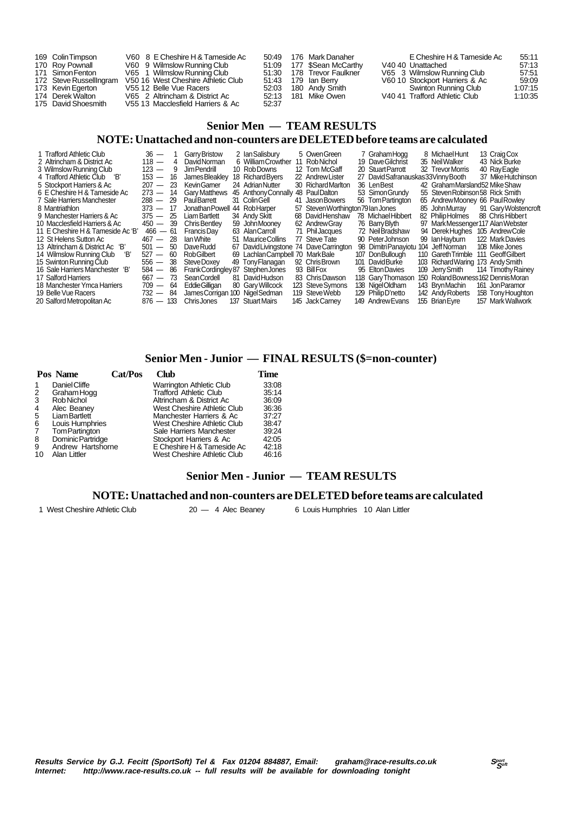| 169 Colin Timpson<br>170 Roy Pownall<br>171 Simon Fenton<br>172 Steve RussellIngram<br>173 Kevin Egerton<br>174 Derek Walton | V60 8 E Cheshire H & Tameside Ac<br>V60 9 Wilmslow Running Club<br>V65 1 Wilmslow Running Club<br>V50 16 West Cheshire Athletic Club<br>V55 12 Belle Vue Racers<br>V65 2 Altrincham & District Ac |       | 50:49 176 Mark Danaher<br>51:09 177 \$Sean McCarthy<br>51:30 178 Trevor Faulkner<br>51:43 179 Ian Berry<br>52:03 180 Andy Smith<br>52:13 181 Mike Owen | E Cheshire H & Tameside Ac<br>V40 40 Unattached<br>V65 3 Wilmslow Running Club<br>V60 10 Stockport Harriers & Ac<br>Swinton Running Club<br>V4041 Trafford Athletic Club | 55:11<br>57:13<br>57.51<br>59.09<br>1:07:15<br>1:10:35 |
|------------------------------------------------------------------------------------------------------------------------------|---------------------------------------------------------------------------------------------------------------------------------------------------------------------------------------------------|-------|--------------------------------------------------------------------------------------------------------------------------------------------------------|--------------------------------------------------------------------------------------------------------------------------------------------------------------------------|--------------------------------------------------------|
| 175 David Shoesmith                                                                                                          | V55 13 Macclesfield Harriers & Ac                                                                                                                                                                 | 52.37 |                                                                                                                                                        |                                                                                                                                                                          |                                                        |

## **Senior Men — TEAM RESULTS**

#### **NOTE: Unattached and non-counters are DELETED before teams are calculated**

| 1 Trafford Athletic Club          |             |                | $36 - 1$ Garry Bristow            | 2 Ian Salisbury                  | 5 OwenGreen                        | 7 GrahamHogg                         | 8 Michael Hunt                      | 13 Craig Cox         |
|-----------------------------------|-------------|----------------|-----------------------------------|----------------------------------|------------------------------------|--------------------------------------|-------------------------------------|----------------------|
| 2 Altrincham & District Ac        | $118 -$     | $\overline{4}$ | David Norman                      | 6 William Crowther               | 11 Rob Nichol                      | 19 Dave Gilchrist                    | 35 NeilWalker                       | 43 Nick Burke        |
| 3 Wilmslow Running Club           | $123 - 9$   |                | Jim Pendrill                      | 10 Rob Downs                     | 12 Tom McGaff                      | 20 Stuart Parrott                    | 32 Trevor Morris                    | 40 Ray Eagle         |
| 4 Trafford Athletic Club 'B'      | $153 - 16$  |                | James Bleakley                    | 18 Richard Byers                 | 22 Andrew Lister                   | 27 David Safranauskas 33 Vinny Booth |                                     | 37 Mike Hutchinson   |
| 5 Stockport Harriers & Ac         | $207 - 23$  |                | <b>KevinGamer</b>                 | 24 Adrian Nutter                 | 30 Richard Marlton                 | 36 LenBest                           | 42 GrahamMarsland52 Mike Shaw       |                      |
| 6 E Cheshire H & Tameside Ac      | $273 - 14$  |                | <b>Gary Matthews</b>              | 45 Anthony Connally              | 48 PaulDalton                      | 53 Simon Grundy                      | 55 Steven Robinson 58 Rick Smith    |                      |
| 7 Sale Harriers Manchester        | $288 - 29$  |                | PaulBarrett                       | 31 ColinGell                     | 41 Jason Bowers                    | 56 Tom Partington                    | 65 Andrew Mooney 66 Paul Rowley     |                      |
| 8 Mantriathlon                    | $373 - 17$  |                | Jonathan Powell                   | 44 RobHarper                     | 57 Steven Worthington 79 Ian Jones |                                      | 85 John Murray                      | 91 Gary Wolstencroft |
| 9 Manchester Harriers & Ac        | $375 - 25$  |                | <b>Liam Bartlett</b>              | 34 Andy Skitt                    | 68 David Henshaw                   | 78 Michael Hibbert                   | 82 Philip Holmes                    | 88 Chris Hibbert     |
| 10 Macclesfield Harriers & Ac     | $450 - 39$  |                | <b>Chris Bentley</b>              | 59 John Mooney                   | 62 Andrew Gray                     | 76 Barry Blyth                       | 97 Mark Messenger 117 Alan Webster  |                      |
| 11 E Cheshire H & Tameside Ac 'B' | $466 - 61$  |                | Francis Dav                       | 63 Alan Carroll                  | 71 Phil Jacques                    | 72 NeilBradshaw                      | 94 DerekHuahes                      | 105 Andrew Cole      |
| 12 St Helens Sutton Ac            | $467 - 28$  |                | lan White                         | 51 Maurice Collins               | 77 Steve Tate                      | 90 PeterJohnson                      | 99 Ian Havburn                      | 122 Mark Davies      |
| 13 Altrincham & District Ac 'B'   | $501 - 50$  |                | <b>DaveRudd</b>                   | 67 David Livingstone             | 74 DaveCarrington                  | 98 Dimitri Panayiotu 104 Jeff Norman |                                     | 108 Mike Jones       |
| 14 Wilmslow Running Club<br>ʻR'   | $527 - 60$  |                | <b>RobGilbert</b>                 | 69 Lachlan Campbell 70 Mark Bale |                                    | 107 Don Bullough                     | 110 Gareth Trimble                  | 111 Geoff Gilbert    |
| 15 Swinton Running Club           | $556 - 38$  |                | Steve Doxey                       | 49 Tony Flanagan                 | 92 Chris Brown                     | 101 David Burke                      | 103 Richard Waring 173 Andy Smith   |                      |
| 16 Sale Harriers Manchester 'B'   | $584 - 86$  |                | Frank Cordingley 87 Stephen Jones |                                  | 93 Bill Fox                        | 95 Elton Davies                      | 109 Jerry Smith                     | 114 Timothy Rainey   |
| 17 Salford Harriers               | $667 - 73$  |                | Sean Cordell                      | 81 David Hudson                  | 83 Chris Dawson                    | 118 Gary Thomason                    | 150 Roland Bowness 162 Dennis Moran |                      |
| 18 Manchester Ymca Harriers       | $709 - 64$  |                | Eddie Gilligan                    | 80 Gary Willcock                 | 123 Steve Symons                   | 138 NigelOldham                      | 143 BrynMachin                      | 161 Jon Paramor      |
| 19 Belle Vue Racers               | $732 - 84$  |                | James Corrigan 100 Nigel Sedman   |                                  | 119 Steve Webb                     | 129 Philip D'netto                   | 142 Andy Roberts                    | 158 Tony Houghton    |
| 20 Salford Metropolitan Ac        | $876 - 133$ |                | <b>ChrisJones</b>                 | 137 Stuart Mairs                 | 145 Jack Carnev                    | 149 Andrew Evans                     | 155 Brian Eyre                      | 157 Mark Wallwork    |

## **Senior Men - Junior — FINAL RESULTS (\$=non-counter)**

|    | Pos Name             | Cat/Pos | Club                            | Time  |
|----|----------------------|---------|---------------------------------|-------|
|    | Daniel Cliffe        |         | <b>Warrington Athletic Club</b> | 33:08 |
| 2  | Graham Hogg          |         | <b>Trafford Athletic Club</b>   | 35:14 |
| 3  | Rob Nichol           |         | Altrincham & District Ac        | 36:09 |
| 4  | Alec Beaney          |         | West Cheshire Athletic Club     | 36:36 |
| 5  | <b>Liam Bartlett</b> |         | Manchester Harriers & Ac        | 37:27 |
| 6  | Louis Humphries      |         | West Cheshire Athletic Club     | 38.47 |
| -7 | Tom Partington       |         | Sale Harriers Manchester        | 39:24 |
| 8  | Dominic Partridge    |         | Stockport Harriers & Ac         | 42:05 |
| 9  | Andrew Hartshorne    |         | E Cheshire H & Tameside Ac      | 42:18 |
| 10 | Alan Littler         |         | West Cheshire Athletic Club     | 46:16 |

## **Senior Men - Junior — TEAM RESULTS**

#### **NOTE: Unattached and non-counters are DELETED before teams are calculated**

1 West Cheshire Athletic Club 20 — 4 Alec Beaney 6 Louis Humphries 10 Alan Littler